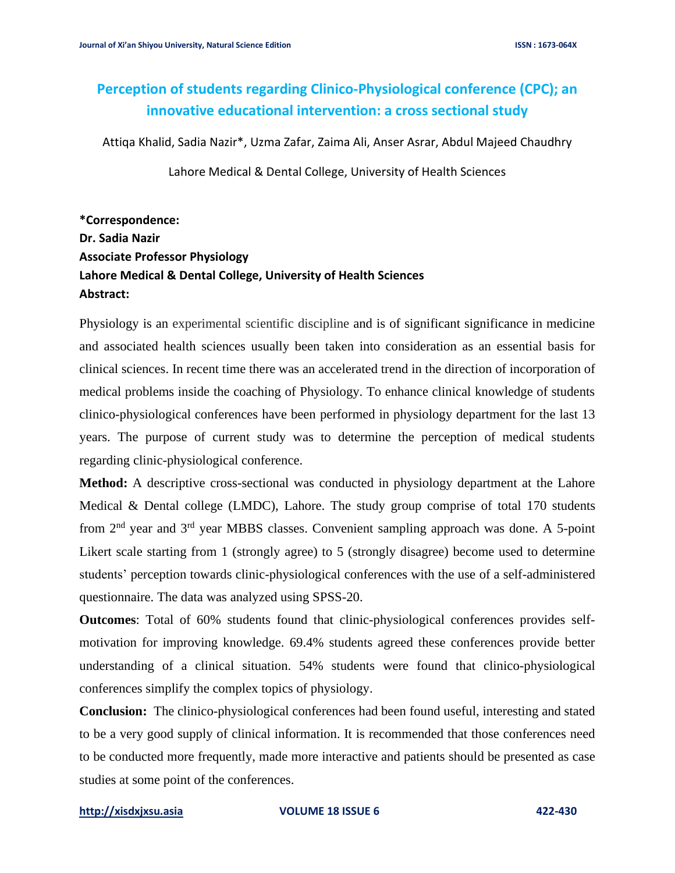# **Perception of students regarding Clinico-Physiological conference (CPC); an innovative educational intervention: a cross sectional study**

Attiqa Khalid, Sadia Nazir\*, Uzma Zafar, Zaima Ali, Anser Asrar, Abdul Majeed Chaudhry

Lahore Medical & Dental College, University of Health Sciences

## **\*Correspondence: Dr. Sadia Nazir Associate Professor Physiology Lahore Medical & Dental College, University of Health Sciences Abstract:**

Physiology is an experimental scientific discipline and is of significant significance in medicine and associated health sciences usually been taken into consideration as an essential basis for clinical sciences. In recent time there was an accelerated trend in the direction of incorporation of medical problems inside the coaching of Physiology. To enhance clinical knowledge of students clinico-physiological conferences have been performed in physiology department for the last 13 years. The purpose of current study was to determine the perception of medical students regarding clinic-physiological conference.

**Method:** A descriptive cross-sectional was conducted in physiology department at the Lahore Medical & Dental college (LMDC), Lahore. The study group comprise of total 170 students from  $2<sup>nd</sup>$  year and  $3<sup>rd</sup>$  year MBBS classes. Convenient sampling approach was done. A 5-point Likert scale starting from 1 (strongly agree) to 5 (strongly disagree) become used to determine students' perception towards clinic-physiological conferences with the use of a self-administered questionnaire. The data was analyzed using SPSS-20.

**Outcomes**: Total of 60% students found that clinic-physiological conferences provides selfmotivation for improving knowledge. 69.4% students agreed these conferences provide better understanding of a clinical situation. 54% students were found that clinico-physiological conferences simplify the complex topics of physiology.

**Conclusion:** The clinico-physiological conferences had been found useful, interesting and stated to be a very good supply of clinical information. It is recommended that those conferences need to be conducted more frequently, made more interactive and patients should be presented as case studies at some point of the conferences.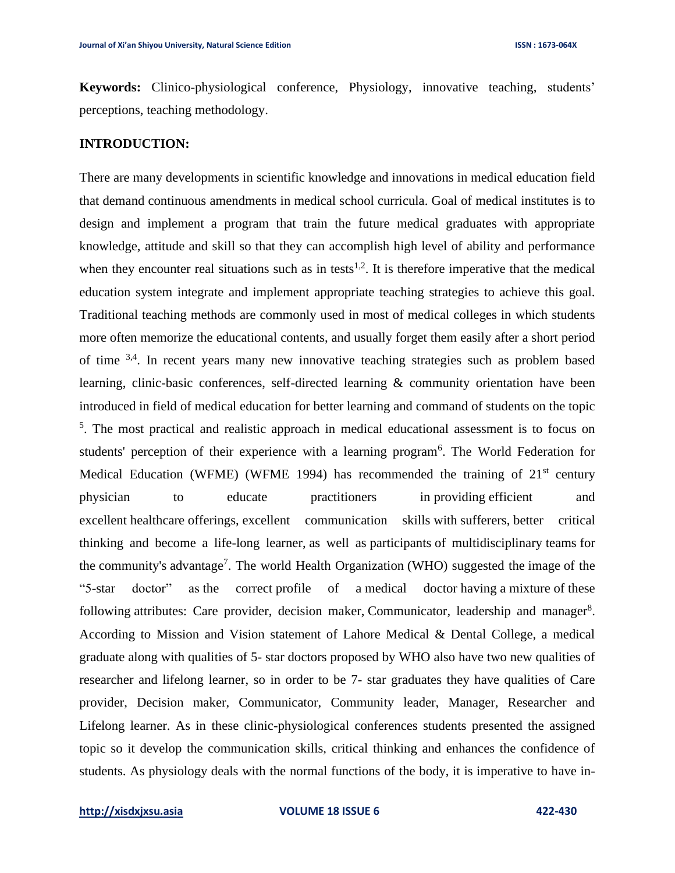**Keywords:** Clinico-physiological conference, Physiology, innovative teaching, students' perceptions, teaching methodology.

#### **INTRODUCTION:**

There are many developments in scientific knowledge and innovations in medical education field that demand continuous amendments in medical school curricula. Goal of medical institutes is to design and implement a program that train the future medical graduates with appropriate knowledge, attitude and skill so that they can accomplish high level of ability and performance when they encounter real situations such as in tests<sup>1,2</sup>. It is therefore imperative that the medical education system integrate and implement appropriate teaching strategies to achieve this goal. Traditional teaching methods are commonly used in most of medical colleges in which students more often memorize the educational contents, and usually forget them easily after a short period of time <sup>3,4</sup>. In recent years many new innovative teaching strategies such as problem based learning, clinic-basic conferences, self-directed learning & community orientation have been introduced in field of medical education for better learning and command of students on the topic <sup>5</sup>. The most practical and realistic approach in medical educational assessment is to focus on students' perception of their experience with a learning program<sup>6</sup>. The World Federation for Medical Education (WFME) (WFME 1994) has recommended the training of  $21<sup>st</sup>$  century physician to educate practitioners in providing efficient and excellent healthcare offerings, excellent communication skills with sufferers, better critical thinking and become a life-long learner, as well as participants of multidisciplinary teams for the community's advantage<sup>7</sup>. The world Health Organization (WHO) suggested the image of the "5-star doctor" as the correct profile of a medical doctor having a mixture of these following attributes: Care provider, decision maker, Communicator, leadership and manager<sup>8</sup>. According to Mission and Vision statement of Lahore Medical & Dental College, a medical graduate along with qualities of 5- star doctors proposed by WHO also have two new qualities of researcher and lifelong learner, so in order to be 7- star graduates they have qualities of Care provider, Decision maker, Communicator, Community leader, Manager, Researcher and Lifelong learner. As in these clinic-physiological conferences students presented the assigned topic so it develop the communication skills, critical thinking and enhances the confidence of students. As physiology deals with the normal functions of the body, it is imperative to have in-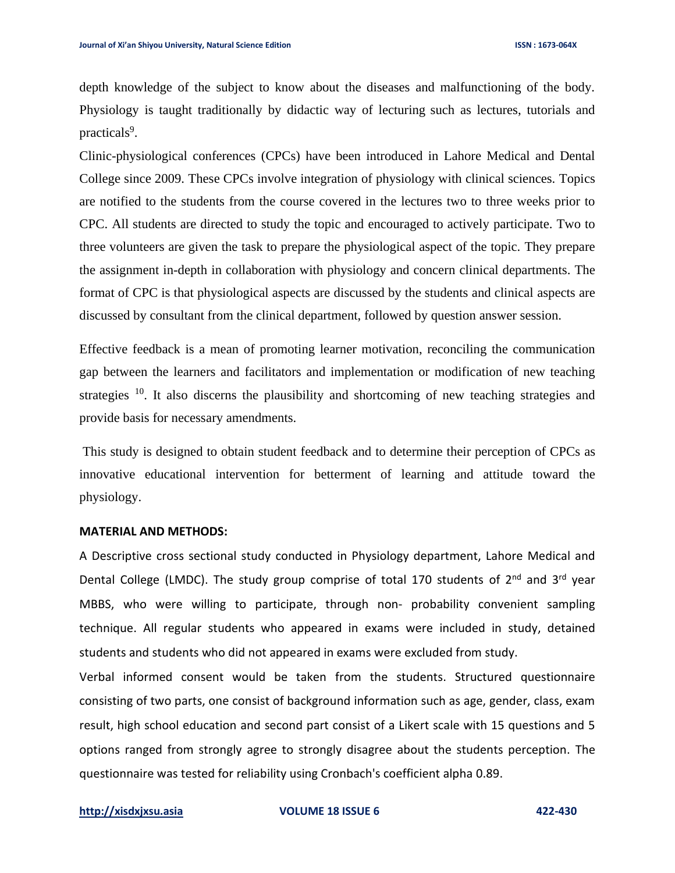depth knowledge of the subject to know about the diseases and malfunctioning of the body. Physiology is taught traditionally by didactic way of lecturing such as lectures, tutorials and practicals<sup>9</sup>.

Clinic-physiological conferences (CPCs) have been introduced in Lahore Medical and Dental College since 2009. These CPCs involve integration of physiology with clinical sciences. Topics are notified to the students from the course covered in the lectures two to three weeks prior to CPC. All students are directed to study the topic and encouraged to actively participate. Two to three volunteers are given the task to prepare the physiological aspect of the topic. They prepare the assignment in-depth in collaboration with physiology and concern clinical departments. The format of CPC is that physiological aspects are discussed by the students and clinical aspects are discussed by consultant from the clinical department, followed by question answer session.

Effective feedback is a mean of promoting learner motivation, reconciling the communication gap between the learners and facilitators and implementation or modification of new teaching strategies <sup>10</sup>. It also discerns the plausibility and shortcoming of new teaching strategies and provide basis for necessary amendments.

This study is designed to obtain student feedback and to determine their perception of CPCs as innovative educational intervention for betterment of learning and attitude toward the physiology.

#### **MATERIAL AND METHODS:**

A Descriptive cross sectional study conducted in Physiology department, Lahore Medical and Dental College (LMDC). The study group comprise of total 170 students of 2<sup>nd</sup> and 3<sup>rd</sup> year MBBS, who were willing to participate, through non- probability convenient sampling technique. All regular students who appeared in exams were included in study, detained students and students who did not appeared in exams were excluded from study.

Verbal informed consent would be taken from the students. Structured questionnaire consisting of two parts, one consist of background information such as age, gender, class, exam result, high school education and second part consist of a Likert scale with 15 questions and 5 options ranged from strongly agree to strongly disagree about the students perception. The questionnaire was tested for reliability using Cronbach's coefficient alpha 0.89.

**[http://xisdxjxsu.asia](http://xisdxjxsu.asia/) VOLUME 18 ISSUE 6 422-430**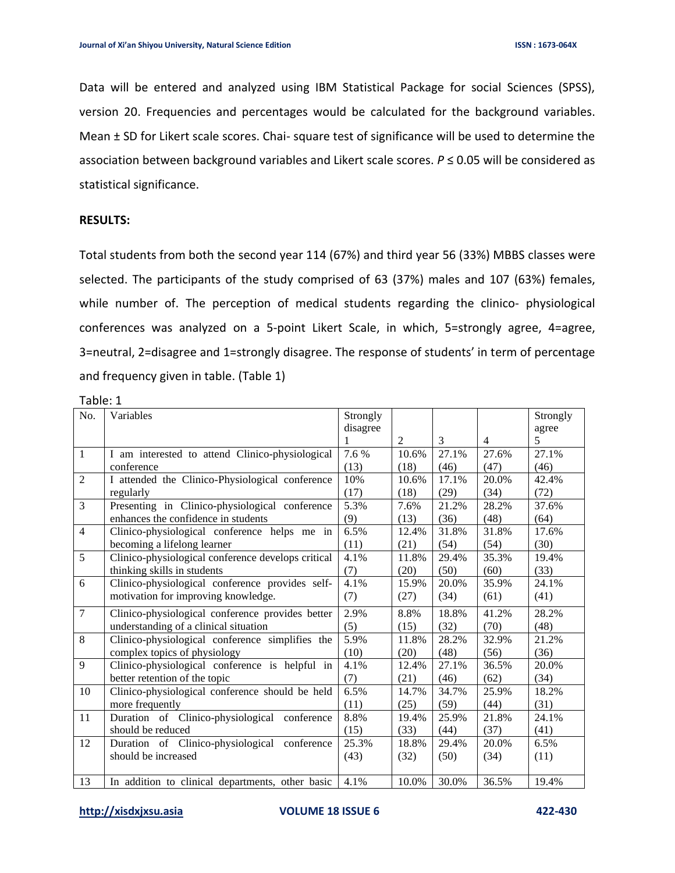Data will be entered and analyzed using IBM Statistical Package for social Sciences (SPSS), version 20. Frequencies and percentages would be calculated for the background variables. Mean ± SD for Likert scale scores. Chai- square test of significance will be used to determine the association between background variables and Likert scale scores. *P* ≤ 0.05 will be considered as statistical significance.

#### **RESULTS:**

Total students from both the second year 114 (67%) and third year 56 (33%) MBBS classes were selected. The participants of the study comprised of 63 (37%) males and 107 (63%) females, while number of. The perception of medical students regarding the clinico- physiological conferences was analyzed on a 5-point Likert Scale, in which, 5=strongly agree, 4=agree, 3=neutral, 2=disagree and 1=strongly disagree. The response of students' in term of percentage and frequency given in table. (Table 1)

| Table: 1       |                                                    |          |                |       |                |          |  |  |  |
|----------------|----------------------------------------------------|----------|----------------|-------|----------------|----------|--|--|--|
| No.            | Variables                                          | Strongly |                |       |                | Strongly |  |  |  |
|                |                                                    | disagree |                |       |                | agree    |  |  |  |
|                |                                                    |          | $\overline{2}$ | 3     | $\overline{4}$ | 5        |  |  |  |
| $\mathbf{1}$   | I am interested to attend Clinico-physiological    | 7.6 %    | 10.6%          | 27.1% | 27.6%          | 27.1%    |  |  |  |
|                | conference                                         | (13)     | (18)           | (46)  | (47)           | (46)     |  |  |  |
| $\overline{2}$ | I attended the Clinico-Physiological conference    | 10%      | 10.6%          | 17.1% | 20.0%          | 42.4%    |  |  |  |
|                | regularly                                          | (17)     | (18)           | (29)  | (34)           | (72)     |  |  |  |
| 3              | Presenting in Clinico-physiological conference     | 5.3%     | 7.6%           | 21.2% | 28.2%          | 37.6%    |  |  |  |
|                | enhances the confidence in students                | (9)      | (13)           | (36)  | (48)           | (64)     |  |  |  |
| $\overline{4}$ | Clinico-physiological conference helps me in       | 6.5%     | 12.4%          | 31.8% | 31.8%          | 17.6%    |  |  |  |
|                | becoming a lifelong learner                        | (11)     | (21)           | (54)  | (54)           | (30)     |  |  |  |
| 5              | Clinico-physiological conference develops critical | 4.1%     | 11.8%          | 29.4% | 35.3%          | 19.4%    |  |  |  |
|                | thinking skills in students                        | (7)      | (20)           | (50)  | (60)           | (33)     |  |  |  |
| 6              | Clinico-physiological conference provides self-    | 4.1%     | 15.9%          | 20.0% | 35.9%          | 24.1%    |  |  |  |
|                | motivation for improving knowledge.                | (7)      | (27)           | (34)  | (61)           | (41)     |  |  |  |
| $\overline{7}$ | Clinico-physiological conference provides better   | 2.9%     | 8.8%           | 18.8% | 41.2%          | 28.2%    |  |  |  |
|                | understanding of a clinical situation              | (5)      | (15)           | (32)  | (70)           | (48)     |  |  |  |
| $\overline{8}$ | Clinico-physiological conference simplifies the    | 5.9%     | 11.8%          | 28.2% | 32.9%          | 21.2%    |  |  |  |
|                | complex topics of physiology                       | (10)     | (20)           | (48)  | (56)           | (36)     |  |  |  |
| 9              | Clinico-physiological conference is helpful in     | 4.1%     | 12.4%          | 27.1% | 36.5%          | 20.0%    |  |  |  |
|                | better retention of the topic                      | (7)      | (21)           | (46)  | (62)           | (34)     |  |  |  |
| 10             | Clinico-physiological conference should be held    | 6.5%     | 14.7%          | 34.7% | 25.9%          | 18.2%    |  |  |  |
|                | more frequently                                    | (11)     | (25)           | (59)  | (44)           | (31)     |  |  |  |
| 11             | Duration of Clinico-physiological conference       | 8.8%     | 19.4%          | 25.9% | 21.8%          | 24.1%    |  |  |  |
|                | should be reduced                                  | (15)     | (33)           | (44)  | (37)           | (41)     |  |  |  |
| 12             | Duration of Clinico-physiological<br>conference    | 25.3%    | 18.8%          | 29.4% | 20.0%          | 6.5%     |  |  |  |
|                | should be increased                                | (43)     | (32)           | (50)  | (34)           | (11)     |  |  |  |
|                |                                                    |          |                |       |                |          |  |  |  |
| 13             | In addition to clinical departments, other basic   | 4.1%     | 10.0%          | 30.0% | 36.5%          | 19.4%    |  |  |  |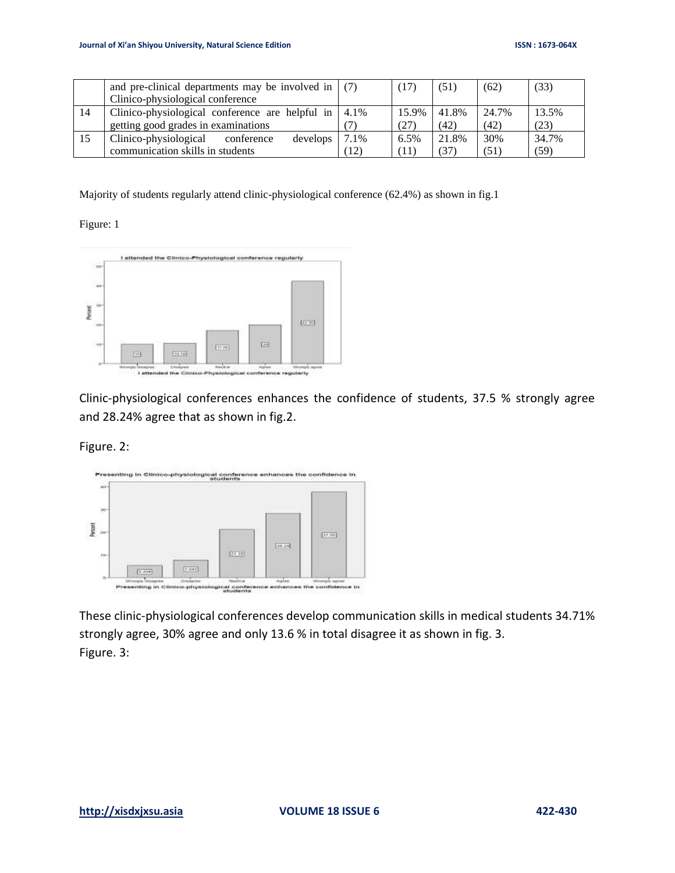|    | and pre-clinical departments may be involved in $(7)$ |      | (17)  | (51)  | (62)  | (33)  |
|----|-------------------------------------------------------|------|-------|-------|-------|-------|
|    | Clinico-physiological conference                      |      |       |       |       |       |
| 14 | Clinico-physiological conference are helpful in       | 4.1% | 15.9% | 41.8% | 24.7% | 13.5% |
|    | getting good grades in examinations                   |      | (27)  | (42)  | (42)  | (23)  |
| 15 | Clinico-physiological<br>develops<br>conference       | 7.1% | 6.5%  | 21.8% | 30%   | 34.7% |
|    | communication skills in students                      | 12)  | ′11   | (37)  | (51)  | (59)  |

Majority of students regularly attend clinic-physiological conference (62.4%) as shown in fig.1

Figure: 1



Clinic-physiological conferences enhances the confidence of students, 37.5 % strongly agree and 28.24% agree that as shown in fig.2.

Figure. 2:



These clinic-physiological conferences develop communication skills in medical students 34.71% strongly agree, 30% agree and only 13.6 % in total disagree it as shown in fig. 3. Figure. 3: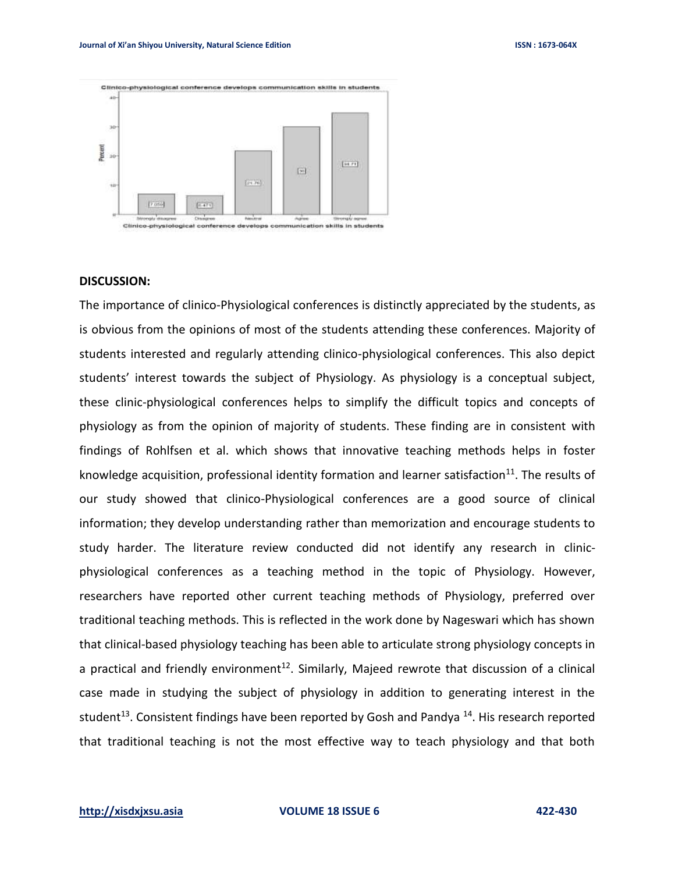

#### **DISCUSSION:**

The importance of clinico-Physiological conferences is distinctly appreciated by the students, as is obvious from the opinions of most of the students attending these conferences. Majority of students interested and regularly attending clinico-physiological conferences. This also depict students' interest towards the subject of Physiology. As physiology is a conceptual subject, these clinic-physiological conferences helps to simplify the difficult topics and concepts of physiology as from the opinion of majority of students. These finding are in consistent with findings of Rohlfsen et al. which shows that innovative teaching methods helps in foster knowledge acquisition, professional identity formation and learner satisfaction<sup>11</sup>. The results of our study showed that clinico-Physiological conferences are a good source of clinical information; they develop understanding rather than memorization and encourage students to study harder. The literature review conducted did not identify any research in clinicphysiological conferences as a teaching method in the topic of Physiology. However, researchers have reported other current teaching methods of Physiology, preferred over traditional teaching methods. This is reflected in the work done by Nageswari which has shown that clinical-based physiology teaching has been able to articulate strong physiology concepts in a practical and friendly environment<sup>12</sup>. Similarly, Majeed rewrote that discussion of a clinical case made in studying the subject of physiology in addition to generating interest in the student<sup>13</sup>. Consistent findings have been reported by Gosh and Pandya<sup>14</sup>. His research reported that traditional teaching is not the most effective way to teach physiology and that both

**[http://xisdxjxsu.asia](http://xisdxjxsu.asia/) VOLUME 18 ISSUE 6 422-430**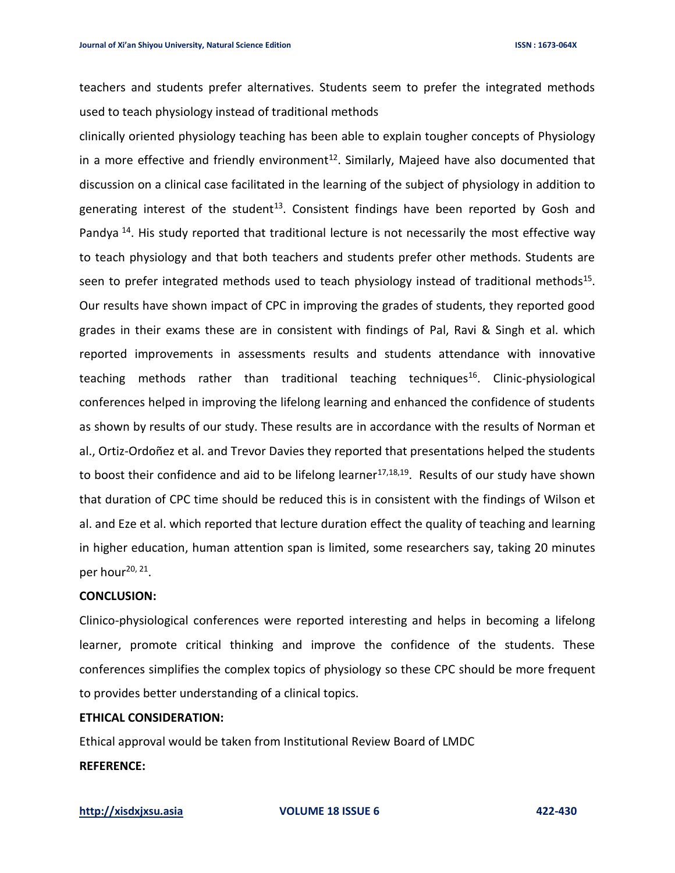teachers and students prefer alternatives. Students seem to prefer the integrated methods used to teach physiology instead of traditional methods

clinically oriented physiology teaching has been able to explain tougher concepts of Physiology in a more effective and friendly environment<sup>12</sup>. Similarly, Majeed have also documented that discussion on a clinical case facilitated in the learning of the subject of physiology in addition to generating interest of the student<sup>13</sup>. Consistent findings have been reported by Gosh and Pandya<sup>14</sup>. His study reported that traditional lecture is not necessarily the most effective way to teach physiology and that both teachers and students prefer other methods. Students are seen to prefer integrated methods used to teach physiology instead of traditional methods<sup>15</sup>. Our results have shown impact of CPC in improving the grades of students, they reported good grades in their exams these are in consistent with findings of Pal, Ravi & Singh et al. which reported improvements in assessments results and students attendance with innovative teaching methods rather than traditional teaching techniques<sup>16</sup>. Clinic-physiological conferences helped in improving the lifelong learning and enhanced the confidence of students as shown by results of our study. These results are in accordance with the results of Norman et al., Ortiz-Ordoñez et al. and Trevor Davies they reported that presentations helped the students to boost their confidence and aid to be lifelong learner<sup>17,18,19</sup>. Results of our study have shown that duration of CPC time should be reduced this is in consistent with the findings of Wilson et al. and Eze et al. which reported that lecture duration effect the quality of teaching and learning in higher education, human attention span is limited, some researchers say, taking 20 minutes per hour<sup>20, 21</sup>.

#### **CONCLUSION:**

Clinico-physiological conferences were reported interesting and helps in becoming a lifelong learner, promote critical thinking and improve the confidence of the students. These conferences simplifies the complex topics of physiology so these CPC should be more frequent to provides better understanding of a clinical topics.

### **ETHICAL CONSIDERATION:**

Ethical approval would be taken from Institutional Review Board of LMDC **REFERENCE:**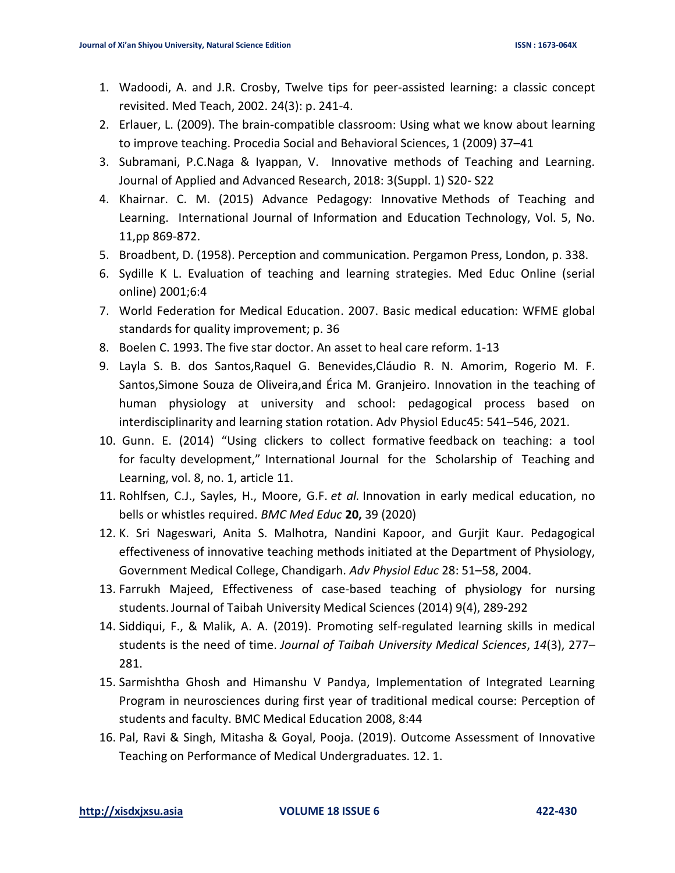- 1. Wadoodi, A. and J.R. Crosby, Twelve tips for peer-assisted learning: a classic concept revisited. Med Teach, 2002. 24(3): p. 241-4.
- 2. Erlauer, L. (2009). The brain-compatible classroom: Using what we know about learning to improve teaching. Procedia Social and Behavioral Sciences, 1 (2009) 37–41
- 3. Subramani, P.C.Naga & Iyappan, V. Innovative methods of Teaching and Learning. Journal of Applied and Advanced Research, 2018: 3(Suppl. 1) S20- S22
- 4. Khairnar. C. M. (2015) Advance Pedagogy: Innovative Methods of Teaching and Learning. International Journal of Information and Education Technology, Vol. 5, No. 11,pp 869-872.
- 5. Broadbent, D. (1958). Perception and communication. Pergamon Press, London, p. 338.
- 6. Sydille K L. Evaluation of teaching and learning strategies. Med Educ Online (serial online) 2001;6:4
- 7. World Federation for Medical Education. 2007. Basic medical education: WFME global standards for quality improvement; p. 36
- 8. Boelen C. 1993. The five star doctor. An asset to heal care reform. 1-13
- 9. Layla S. B. dos Santos,Raquel G. Benevides,Cláudio R. N. Amorim, Rogerio M. F. Santos,Simone Souza de Oliveira,and Érica M. Granjeiro. Innovation in the teaching of human physiology at university and school: pedagogical process based on interdisciplinarity and learning station rotation. Adv Physiol Educ45: 541–546, 2021.
- 10. Gunn. E. (2014) "Using clickers to collect formative feedback on teaching: a tool for faculty development," International Journal for the Scholarship of Teaching and Learning, vol. 8, no. 1, article 11.
- 11. Rohlfsen, C.J., Sayles, H., Moore, G.F. *et al.* Innovation in early medical education, no bells or whistles required. *BMC Med Educ* **20,** 39 (2020)
- 12. K. Sri Nageswari, Anita S. Malhotra, Nandini Kapoor, and Gurjit Kaur. Pedagogical effectiveness of innovative teaching methods initiated at the Department of Physiology, Government Medical College, Chandigarh. *Adv Physiol Educ* 28: 51–58, 2004.
- 13. Farrukh Majeed, Effectiveness of case-based teaching of physiology for nursing students.Journal of Taibah University Medical Sciences (2014) 9(4), 289-292
- 14. Siddiqui, F., & Malik, A. A. (2019). Promoting self-regulated learning skills in medical students is the need of time. *Journal of Taibah University Medical Sciences*, *14*(3), 277– 281.
- 15. Sarmishtha Ghosh and Himanshu V Pandya, Implementation of Integrated Learning Program in neurosciences during first year of traditional medical course: Perception of students and faculty. BMC Medical Education 2008, 8:44
- 16. Pal, Ravi & Singh, Mitasha & Goyal, Pooja. (2019). Outcome Assessment of Innovative Teaching on Performance of Medical Undergraduates. 12. 1.